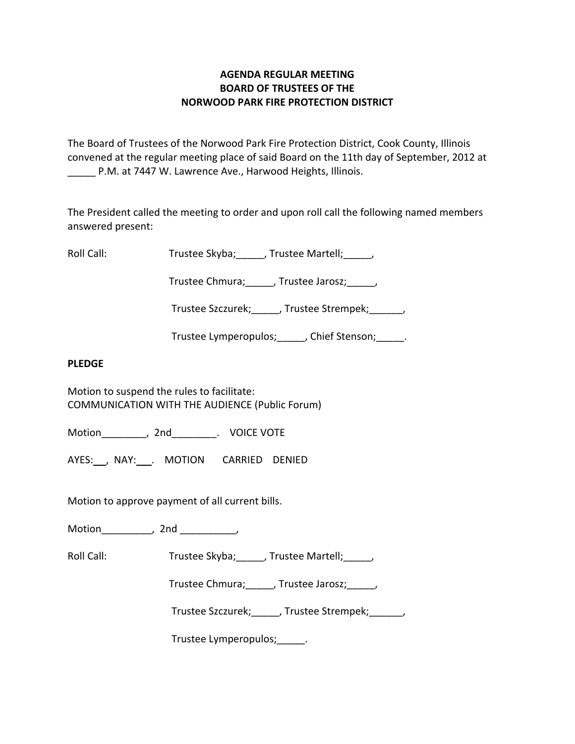# **AGENDA REGULAR MEETING BOARD OF TRUSTEES OF THE NORWOOD PARK FIRE PROTECTION DISTRICT**

The Board of Trustees of the Norwood Park Fire Protection District, Cook County, Illinois convened at the regular meeting place of said Board on the 11th day of September, 2012 at \_\_\_\_\_ P.M. at 7447 W. Lawrence Ave., Harwood Heights, Illinois.

The President called the meeting to order and upon roll call the following named members answered present:

Roll Call: Trustee Skyba; Jrustee Martell;

Trustee Chmura; frustee Jarosz; frustee Ohmura;

Trustee Szczurek; frustee Strempek; frustee Strempek;

Trustee Lymperopulos; finition chief Stenson; and Trustee Lymperopulos; and Trustee Stenson;

## **PLEDGE**

Motion to suspend the rules to facilitate: COMMUNICATION WITH THE AUDIENCE (Public Forum)

Motion \_\_\_\_\_\_\_\_, 2nd \_\_\_\_\_\_\_\_. VOICE VOTE

AYES: NAY: MOTION CARRIED DENIED

Motion to approve payment of all current bills.

Motion\_\_\_\_\_\_\_\_\_, 2nd \_\_\_\_\_\_\_\_\_\_,

Roll Call: Trustee Skyba; J. Trustee Martell; Trustee Martell;

Trustee Chmura;\_\_\_\_\_, Trustee Jarosz;\_\_\_\_\_,

Trustee Szczurek; frustee Strempek; frustee Strempek;

Trustee Lymperopulos; Fig.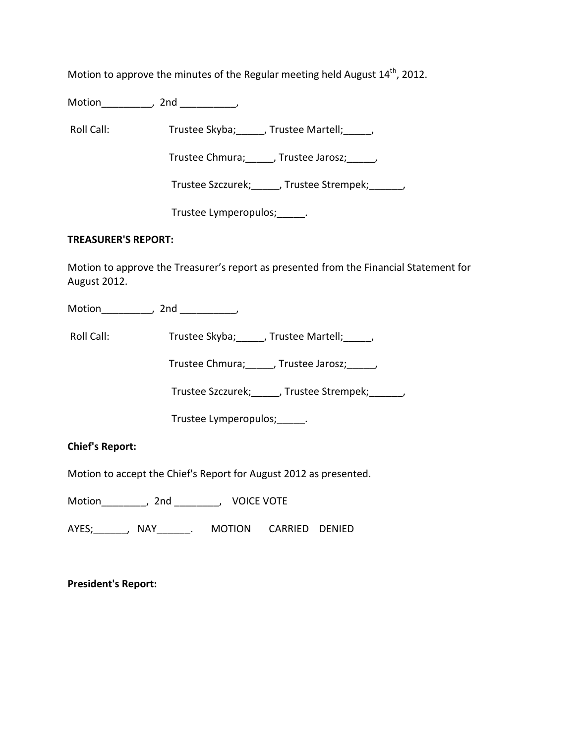Motion to approve the minutes of the Regular meeting held August  $14^{\text{th}}$ , 2012.

Motion\_\_\_\_\_\_\_\_\_, 2nd \_\_\_\_\_\_\_\_\_\_,

Roll Call: Trustee Skyba; J. Trustee Martell; Trustee Martell;

Trustee Chmura; frustee Jarosz; frustee Jarosz;

Trustee Szczurek; J. Trustee Strempek; J.

Trustee Lymperopulos;\_\_\_\_\_.

### **TREASURER'S REPORT:**

Motion to approve the Treasurer's report as presented from the Financial Statement for August 2012.

Motion\_\_\_\_\_\_\_\_\_, 2nd \_\_\_\_\_\_\_\_\_\_,

Roll Call: Trustee Skyba; J. Trustee Martell; Trustee Martell;

Trustee Chmura;\_\_\_\_\_, Trustee Jarosz;\_\_\_\_\_,

Trustee Szczurek;\_\_\_\_\_, Trustee Strempek;\_\_\_\_\_\_,

Trustee Lymperopulos;\_\_\_\_\_.

**Chief's Report:**

Motion to accept the Chief's Report for August 2012 as presented.

Motion \_\_\_\_\_\_\_\_, 2nd \_\_\_\_\_\_\_\_, VOICE VOTE

AYES;\_\_\_\_\_\_, NAY\_\_\_\_\_\_. MOTION CARRIED DENIED

**President's Report:**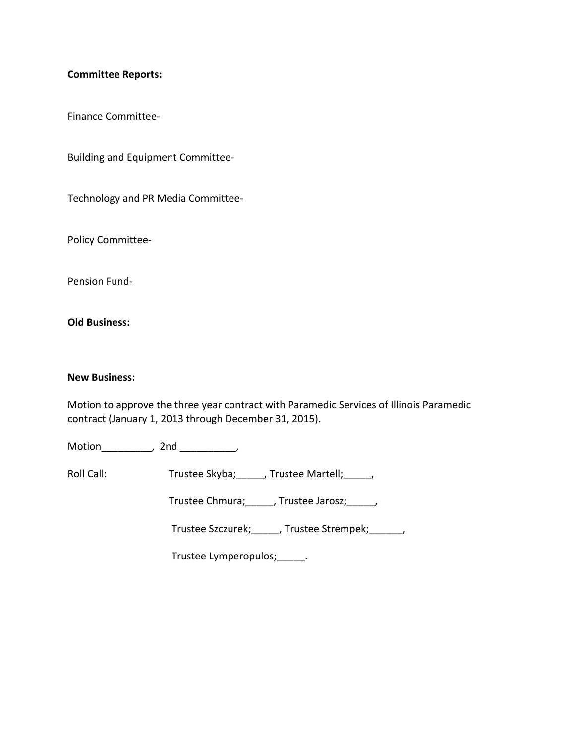### **Committee Reports:**

Finance Committee‐

Building and Equipment Committee‐

Technology and PR Media Committee‐

Policy Committee‐

Pension Fund‐

**Old Business:**

## **New Business:**

Motion to approve the three year contract with Paramedic Services of Illinois Paramedic contract (January 1, 2013 through December 31, 2015).

Motion\_\_\_\_\_\_\_\_\_, 2nd \_\_\_\_\_\_\_\_\_\_,

Roll Call: Trustee Skyba; \_\_\_\_\_, Trustee Martell; \_\_\_\_\_,

Trustee Chmura;\_\_\_\_\_, Trustee Jarosz;\_\_\_\_\_,

Trustee Szczurek;\_\_\_\_\_, Trustee Strempek;\_\_\_\_\_\_,

Trustee Lymperopulos;\_\_\_\_\_.